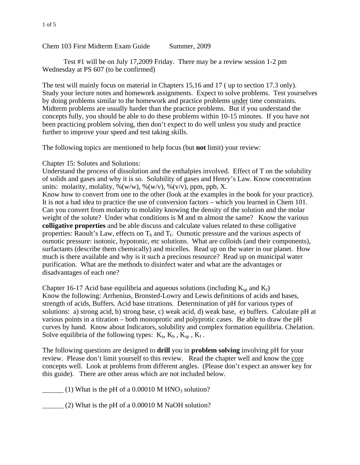## 1 of 5

Chem 103 First Midterm Exam Guide Summer, 2009

 Test #1 will be on July 17,2009 Friday. There may be a review session 1-2 pm Wednesday at PS 607 (to be confirmed)

The test will mainly focus on material in Chapters 15,16 and 17 ( up to section 17.3 only). Study your lecture notes and homework assignments. Expect to solve problems. Test yourselves by doing problems similar to the homework and practice problems under time constraints. Midterm problems are usually harder than the practice problems. But if you understand the concepts fully, you should be able to do these problems within 10-15 minutes. If you have not been practicing problem solving, then don't expect to do well unless you study and practice further to improve your speed and test taking skills.

The following topics are mentioned to help focus (but **not** limit) your review:

Chapter 15: Solutes and Solutions:

Understand the process of dissolution and the enthalpies involved. Effect of T on the solubility of solids and gases and why it is so. Solubility of gases and Henry's Law. Know concentration units: molarity, molality,  $\mathcal{N}(w/w)$ ,  $\mathcal{N}(w/v)$ ,  $\mathcal{N}(v/v)$ , ppm, ppb, X.

Know how to convert from one to the other (look at the examples in the book for your practice). It is not a bad idea to practice the use of conversion factors – which you learned in Chem 101. Can you convert from molarity to molality knowing the density of the solution and the molar weight of the solute? Under what conditions is M and m almost the same? Know the various **colligative properties** and be able discuss and calculate values related to these colligative properties: Raoult's Law, effects on  $T_b$  and  $T_f$ . Osmotic pressure and the various aspects of osmotic pressure: isotonic, hypotonic, etc solutions. What are colloids (and their components), surfactants (describe them chemically) and micelles. Read up on the water in our planet. How much is there available and why is it such a precious resource? Read up on municipal water purification. What are the methods to disinfect water and what are the advantages or disadvantages of each one?

Chapter 16-17 Acid base equilibria and aqueous solutions (including  $K_{sp}$  and  $K_f$ ) Know the following: Arrhenius, Bronsted-Lowry and Lewis definitions of acids and bases, strength of acids, Buffers. Acid base titrations. Determination of pH for various types of solutions: a) strong acid, b) strong base, c) weak acid, d) weak base, e) buffers. Calculate pH at various points in a titration – both monoprotic and polyprotic cases. Be able to draw the pH curves by hand. Know about Indicators, solubility and complex formation equilibria. Chelation. Solve equilibria of the following types:  $K_a$ ,  $K_b$ ,  $K_{sp}$ ,  $K_f$ .

The following questions are designed to **drill** you in **problem solving** involving pH for your review. Please don't limit yourself to this review. Read the chapter well and know the core concepts well. Look at problems from different angles. (Please don't expect an answer key for this guide). There are other areas which are not included below.

 $(1)$  What is the pH of a 0.00010 M HNO<sub>3</sub> solution?

(2) What is the pH of a 0.00010 M NaOH solution?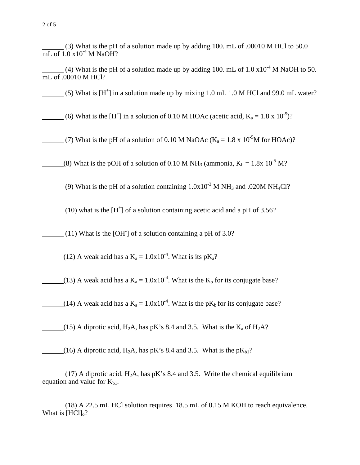(3) What is the pH of a solution made up by adding 100. mL of .00010 M HCl to 50.0  $\overline{\text{mL of 1.0 x10}^4}$  M NaOH?

(4) What is the pH of a solution made up by adding 100. mL of  $1.0 \times 10^{-4}$  M NaOH to 50. mL of .00010 M HCl?

 $(5)$  What is  $[H^+]$  in a solution made up by mixing 1.0 mL 1.0 M HCl and 99.0 mL water?

(6) What is the [H<sup>+</sup>] in a solution of 0.10 M HOAc (acetic acid,  $K_a = 1.8 \times 10^{-5}$ )?

(7) What is the pH of a solution of 0.10 M NaOAc ( $K_a = 1.8 \times 10^{-5}$ M for HOAc)?

(8) What is the pOH of a solution of 0.10 M NH<sub>3</sub> (ammonia,  $K_b = 1.8x 10^{-5} M$ ?

(9) What is the pH of a solution containing  $1.0x10^{-3}$  M NH<sub>3</sub> and .020M NH<sub>4</sub>Cl?

(10) what is the  $[H^+]$  of a solution containing acetic acid and a pH of 3.56?

(11) What is the [OH- ] of a solution containing a pH of 3.0?

(12) A weak acid has a  $K_a = 1.0x10^{-4}$ . What is its p $K_a$ ?

(13) A weak acid has a  $K_a = 1.0x10^{-4}$ . What is the  $K_b$  for its conjugate base?

(14) A weak acid has a  $K_a = 1.0x10^{-4}$ . What is the p $K_b$  for its conjugate base?

(15) A diprotic acid, H<sub>2</sub>A, has pK's 8.4 and 3.5. What is the  $K_a$  of H<sub>2</sub>A?

(16) A diprotic acid, H<sub>2</sub>A, has pK's 8.4 and 3.5. What is the pK<sub>b1</sub>?

(17) A diprotic acid,  $H_2A$ , has pK's 8.4 and 3.5. Write the chemical equilibrium equation and value for  $K_{b1}$ .

 (18) A 22.5 mL HCl solution requires 18.5 mL of 0.15 M KOH to reach equivalence. What is  $[HCl]_0$ ?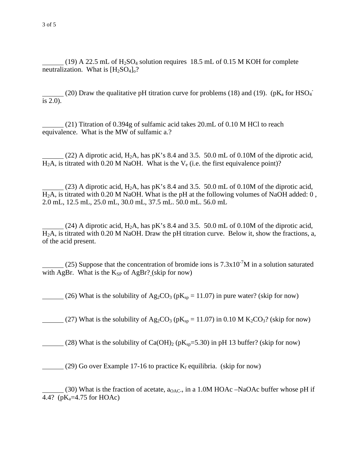(19) A 22.5 mL of  $H_2SO_4$  solution requires 18.5 mL of 0.15 M KOH for complete neutralization. What is  $[H_2SO_4]_0$ ?

(20) Draw the qualitative pH titration curve for problems (18) and (19). ( $pK_a$  for HSO<sub>4</sub><sup>-</sup> is 2.0).

 (21) Titration of 0.394g of sulfamic acid takes 20.mL of 0.10 M HCl to reach equivalence. What is the MW of sulfamic a.?

(22) A diprotic acid,  $H_2A$ , has pK's 8.4 and 3.5. 50.0 mL of 0.10M of the diprotic acid,  $H_2A$ , is titrated with 0.20 M NaOH. What is the  $V_e$  (i.e. the first equivalence point)?

(23) A diprotic acid,  $H_2A$ , has pK's 8.4 and 3.5. 50.0 mL of 0.10M of the diprotic acid,  $H<sub>2</sub>A$ , is titrated with 0.20 M NaOH. What is the pH at the following volumes of NaOH added: 0, 2.0 mL, 12.5 mL, 25.0 mL, 30.0 mL, 37.5 mL. 50.0 mL. 56.0 mL

(24) A diprotic acid,  $H_2A$ , has pK's 8.4 and 3.5. 50.0 mL of 0.10M of the diprotic acid, H2A, is titrated with 0.20 M NaOH. Draw the pH titration curve. Below it, show the fractions, a, of the acid present.

(25) Suppose that the concentration of bromide ions is  $7.3 \times 10^{-7}$ M in a solution saturated with AgBr. What is the  $K_{SP}$  of AgBr? (skip for now)

(26) What is the solubility of  $Ag_2CO_3$  (p $K_{sp} = 11.07$ ) in pure water? (skip for now)

(27) What is the solubility of Ag<sub>2</sub>CO<sub>3</sub> (pK<sub>sp</sub> = 11.07) in 0.10 M K<sub>2</sub>CO<sub>3</sub>? (skip for now)

(28) What is the solubility of  $Ca(OH)_2$  (p $K_{\text{sp}}=5.30$ ) in pH 13 buffer? (skip for now)

(29) Go over Example 17-16 to practice  $K_f$  equilibria. (skip for now)

(30) What is the fraction of acetate,  $a_{OAC}$ , in a 1.0M HOAc –NaOAc buffer whose pH if 4.4? ( $pK_a = 4.75$  for HOAc)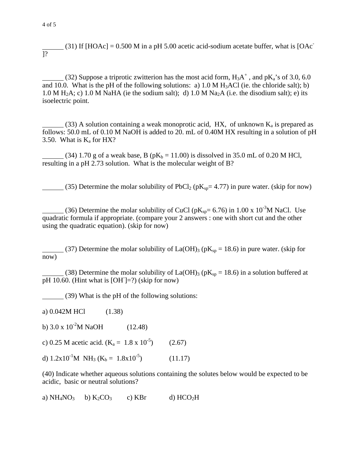(31) If  $[HOAc] = 0.500$  M in a pH 5.00 acetic acid-sodium acetate buffer, what is  $[OAc]$ ]?

(32) Suppose a triprotic zwitterion has the most acid form,  $H_3A^+$ , and  $pK_a$ 's of 3.0, 6.0 and 10.0. What is the pH of the following solutions: a)  $1.0 M H<sub>3</sub>ACl$  (ie. the chloride salt); b) 1.0 M  $H_2A$ ; c) 1.0 M NaHA (ie the sodium salt); d) 1.0 M Na<sub>2</sub>A (i.e. the disodium salt); e) its isoelectric point.

(33) A solution containing a weak monoprotic acid, HX, of unknown  $K_a$  is prepared as follows: 50.0 mL of 0.10 M NaOH is added to 20. mL of 0.40M HX resulting in a solution of pH 3.50. What is  $K_a$  for HX?

(34) 1.70 g of a weak base, B ( $pK_b = 11.00$ ) is dissolved in 35.0 mL of 0.20 M HCl, resulting in a pH 2.73 solution. What is the molecular weight of B?

(35) Determine the molar solubility of PbCl<sub>2</sub> ( $pK_{sp}=4.77$ ) in pure water. (skip for now)

(36) Determine the molar solubility of CuCl ( $pK_{sp}= 6.76$ ) in 1.00 x 10<sup>-3</sup>M NaCl. Use quadratic formula if appropriate. (compare your 2 answers : one with short cut and the other using the quadratic equation). (skip for now)

(37) Determine the molar solubility of La(OH)<sub>3</sub> ( $pK_{sp} = 18.6$ ) in pure water. (skip for now)

(38) Determine the molar solubility of La(OH)<sub>3</sub> ( $pK_{sp}$  = 18.6) in a solution buffered at  $\overline{pH}$  10.60. (Hint what is [OH]=?) (skip for now)

(39) What is the pH of the following solutions:

a) 0.042M HCl (1.38)

b)  $3.0 \times 10^{-2}$ M NaOH (12.48)

c) 0.25 M acetic acid.  $(K_a = 1.8 \times 10^{-5})$  (2.67)

d)  $1.2x10^{-1}M \text{ NH}_3 (K_b = 1.8x10^{-5})$  (11.17)

(40) Indicate whether aqueous solutions containing the solutes below would be expected to be acidic, basic or neutral solutions?

a)  $NH_4NO_3$  b)  $K_2CO_3$  c) KBr d)  $HCO_2H$